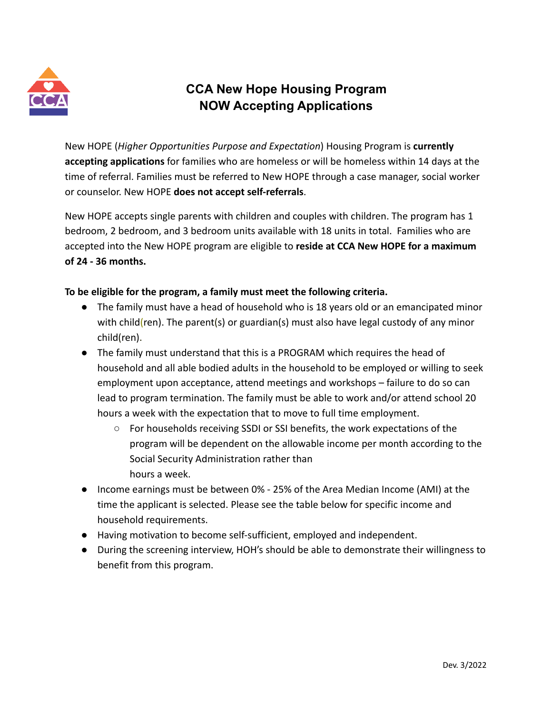

## **CCA New Hope Housing Program NOW Accepting Applications**

New HOPE (*Higher Opportunities Purpose and Expectation*) Housing Program is **currently accepting applications** for families who are homeless or will be homeless within 14 days at the time of referral. Families must be referred to New HOPE through a case manager, social worker or counselor. New HOPE **does not accept self-referrals**.

New HOPE accepts single parents with children and couples with children. The program has 1 bedroom, 2 bedroom, and 3 bedroom units available with 18 units in total. Families who are accepted into the New HOPE program are eligible to **reside at CCA New HOPE for a maximum of 24 - 36 months.**

## **To be eligible for the program, a family must meet the following criteria.**

- The family must have a head of household who is 18 years old or an emancipated minor with child(ren). The parent(s) or guardian(s) must also have legal custody of any minor child(ren).
- The family must understand that this is a PROGRAM which requires the head of household and all able bodied adults in the household to be employed or willing to seek employment upon acceptance, attend meetings and workshops – failure to do so can lead to program termination. The family must be able to work and/or attend school 20 hours a week with the expectation that to move to full time employment.
	- For households receiving SSDI or SSI benefits, the work expectations of the program will be dependent on the allowable income per month according to the Social Security Administration rather than hours a week.
- Income earnings must be between 0% 25% of the Area Median Income (AMI) at the time the applicant is selected. Please see the table below for specific income and household requirements.
- Having motivation to become self-sufficient, employed and independent.
- During the screening interview, HOH's should be able to demonstrate their willingness to benefit from this program.